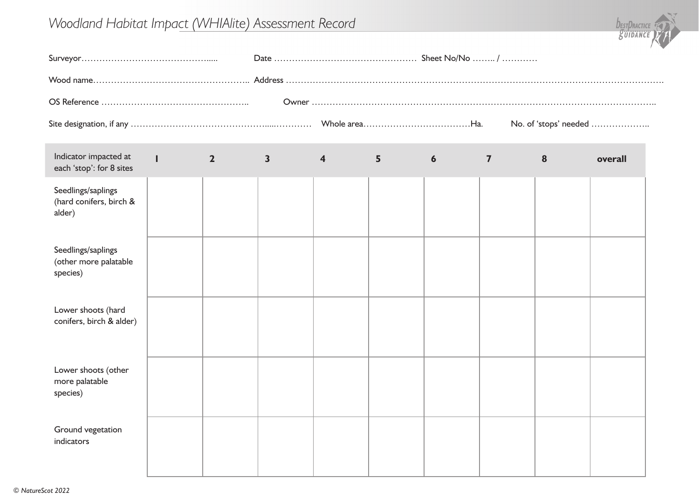## *Woodland Habitat Impact (WHIAlite) Assessment Record*

|                                                         |   |                |                         |                         |   | No. of 'stops' needed |                |   |         |  |  |
|---------------------------------------------------------|---|----------------|-------------------------|-------------------------|---|-----------------------|----------------|---|---------|--|--|
| Indicator impacted at<br>each 'stop': for 8 sites       | п | $\overline{2}$ | $\overline{\mathbf{3}}$ | $\overline{\mathbf{4}}$ | 5 | $\boldsymbol{6}$      | $\overline{7}$ | 8 | overall |  |  |
| Seedlings/saplings<br>(hard conifers, birch &<br>alder) |   |                |                         |                         |   |                       |                |   |         |  |  |
| Seedlings/saplings<br>(other more palatable<br>species) |   |                |                         |                         |   |                       |                |   |         |  |  |
| Lower shoots (hard<br>conifers, birch & alder)          |   |                |                         |                         |   |                       |                |   |         |  |  |
| Lower shoots (other<br>more palatable<br>species)       |   |                |                         |                         |   |                       |                |   |         |  |  |
| Ground vegetation<br>indicators                         |   |                |                         |                         |   |                       |                |   |         |  |  |

b<sub>EST</sub>DRACTICE KUIDANCI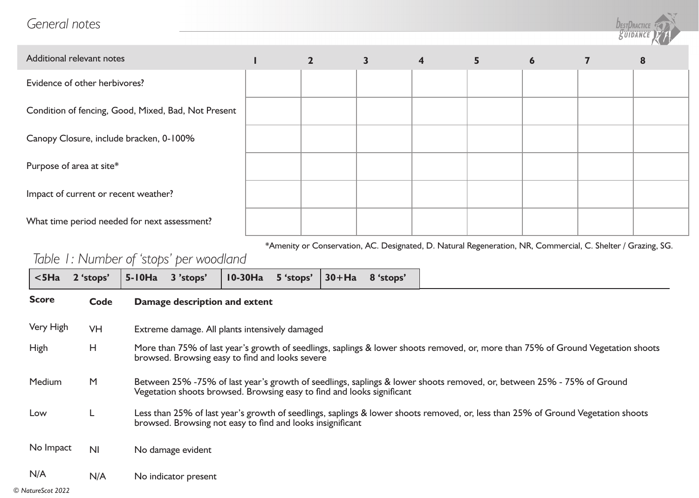## *General notes*



| Additional relevant notes                           |  | $\overline{\mathbf{4}}$ | 5 <sup>5</sup> | 6 | 8 |
|-----------------------------------------------------|--|-------------------------|----------------|---|---|
| Evidence of other herbivores?                       |  |                         |                |   |   |
| Condition of fencing, Good, Mixed, Bad, Not Present |  |                         |                |   |   |
| Canopy Closure, include bracken, 0-100%             |  |                         |                |   |   |
| Purpose of area at site*                            |  |                         |                |   |   |
| Impact of current or recent weather?                |  |                         |                |   |   |
| What time period needed for next assessment?        |  |                         |                |   |   |

\*Amenity or Conservation, AC. Designated, D. Natural Regeneration, NR, Commercial, C. Shelter / Grazing, SG.

## *Table 1: Number of 'stops' per woodland*

| $<$ 5 $Ha$   | 2 'stops'      | $5 - 10$ Ha<br>3'stops'                                                                                                                                                                        | 10-30Ha                                                                                                                                                                                         | 5 'stops' | $30 + Ha$ | 8 'stops' |  |  |  |  |  |
|--------------|----------------|------------------------------------------------------------------------------------------------------------------------------------------------------------------------------------------------|-------------------------------------------------------------------------------------------------------------------------------------------------------------------------------------------------|-----------|-----------|-----------|--|--|--|--|--|
| <b>Score</b> | Code           | Damage description and extent                                                                                                                                                                  |                                                                                                                                                                                                 |           |           |           |  |  |  |  |  |
| Very High    | <b>VH</b>      | Extreme damage. All plants intensively damaged                                                                                                                                                 |                                                                                                                                                                                                 |           |           |           |  |  |  |  |  |
| High         | Н              |                                                                                                                                                                                                | More than 75% of last year's growth of seedlings, saplings & lower shoots removed, or, more than 75% of Ground Vegetation shoots<br>browsed. Browsing easy to find and looks severe             |           |           |           |  |  |  |  |  |
| Medium       | M              |                                                                                                                                                                                                | Between 25% -75% of last year's growth of seedlings, saplings & lower shoots removed, or, between 25% - 75% of Ground<br>Vegetation shoots browsed. Browsing easy to find and looks significant |           |           |           |  |  |  |  |  |
| Low          |                | Less than 25% of last year's growth of seedlings, saplings & lower shoots removed, or, less than 25% of Ground Vegetation shoots<br>browsed. Browsing not easy to find and looks insignificant |                                                                                                                                                                                                 |           |           |           |  |  |  |  |  |
| No Impact    | N <sub>l</sub> | No damage evident                                                                                                                                                                              |                                                                                                                                                                                                 |           |           |           |  |  |  |  |  |
| N/A          | N/A            | No indicator present                                                                                                                                                                           |                                                                                                                                                                                                 |           |           |           |  |  |  |  |  |

*© NatureScot 2022*